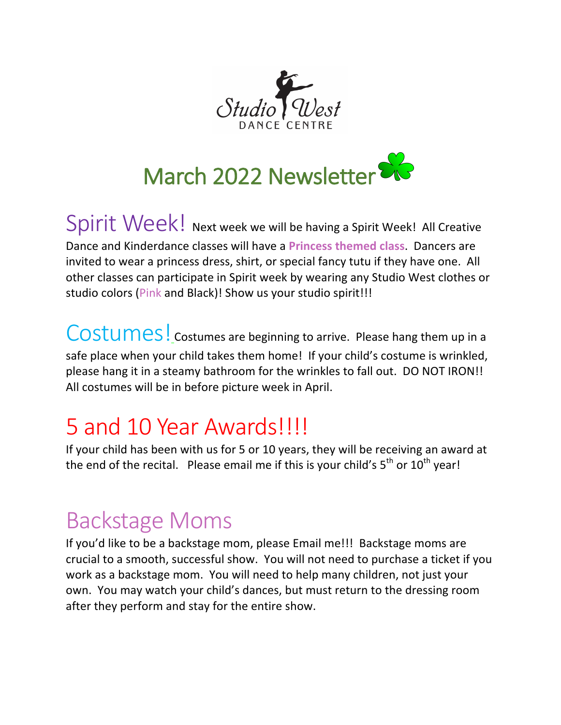



Spirit Week! Next week we will be having a Spirit Week! All Creative Dance and Kinderdance classes will have a **Princess themed class**. Dancers are invited to wear a princess dress, shirt, or special fancy tutu if they have one. All other classes can participate in Spirit week by wearing any Studio West clothes or studio colors (Pink and Black)! Show us your studio spirit!!!

COStumes! costumes are beginning to arrive. Please hang them up in a safe place when your child takes them home! If your child's costume is wrinkled, please hang it in a steamy bathroom for the wrinkles to fall out. DO NOT IRON!! All costumes will be in before picture week in April.

## 5 and 10 Year Awards!!!!

If your child has been with us for 5 or 10 years, they will be receiving an award at the end of the recital. Please email me if this is your child's  $5<sup>th</sup>$  or  $10<sup>th</sup>$  year!

## **Backstage Moms**

If you'd like to be a backstage mom, please Email me!!! Backstage moms are crucial to a smooth, successful show. You will not need to purchase a ticket if you work as a backstage mom. You will need to help many children, not just your own. You may watch your child's dances, but must return to the dressing room after they perform and stay for the entire show.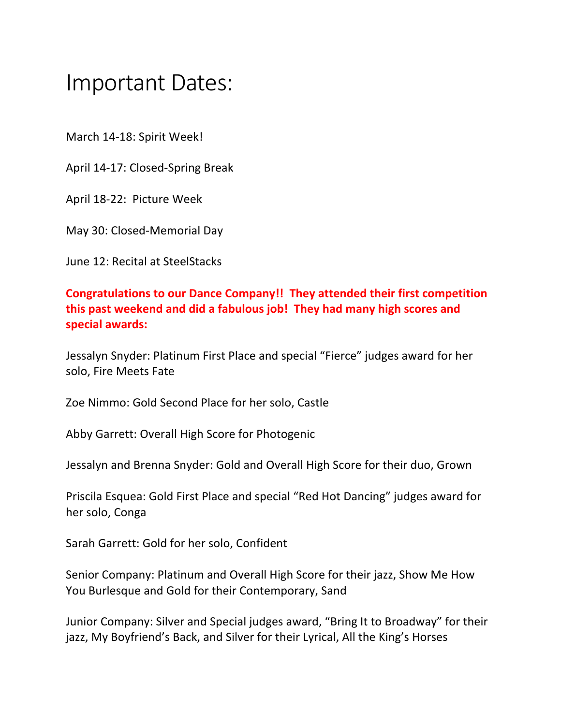## Important Dates:

March 14-18: Spirit Week!

April 14-17: Closed-Spring Break

April 18-22: Picture Week

May 30: Closed-Memorial Day

June 12: Recital at SteelStacks

## **Congratulations to our Dance Company!! They attended their first competition** this past weekend and did a fabulous job! They had many high scores and **special awards:**

Jessalyn Snyder: Platinum First Place and special "Fierce" judges award for her solo, Fire Meets Fate

Zoe Nimmo: Gold Second Place for her solo, Castle

Abby Garrett: Overall High Score for Photogenic

Jessalyn and Brenna Snyder: Gold and Overall High Score for their duo, Grown

Priscila Esquea: Gold First Place and special "Red Hot Dancing" judges award for her solo, Conga

Sarah Garrett: Gold for her solo, Confident

Senior Company: Platinum and Overall High Score for their jazz, Show Me How You Burlesque and Gold for their Contemporary, Sand

Junior Company: Silver and Special judges award, "Bring It to Broadway" for their jazz, My Boyfriend's Back, and Silver for their Lyrical, All the King's Horses